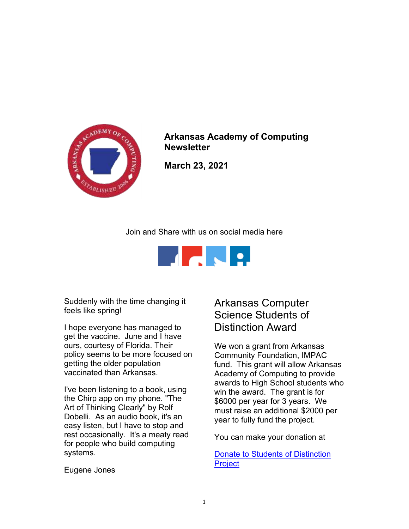

Arkansas Academy of Computing **Newsletter** 

March 23, 2021

Join and Share with us on social media here



Suddenly with the time changing it feels like spring!

I hope everyone has managed to get the vaccine. June and I have ours, courtesy of Florida. Their policy seems to be more focused on getting the older population vaccinated than Arkansas.

I've been listening to a book, using the Chirp app on my phone. "The Art of Thinking Clearly" by Rolf Dobelli. As an audio book, it's an easy listen, but I have to stop and rest occasionally. It's a meaty read for people who build computing systems.

## Arkansas Computer Science Students of Distinction Award

We won a grant from Arkansas Community Foundation, IMPAC fund. This grant will allow Arkansas Academy of Computing to provide awards to High School students who win the award. The grant is for \$6000 per year for 3 years. We must raise an additional \$2000 per year to fully fund the project.

You can make your donation at

Donate to Students of Distinction **Project** 

Eugene Jones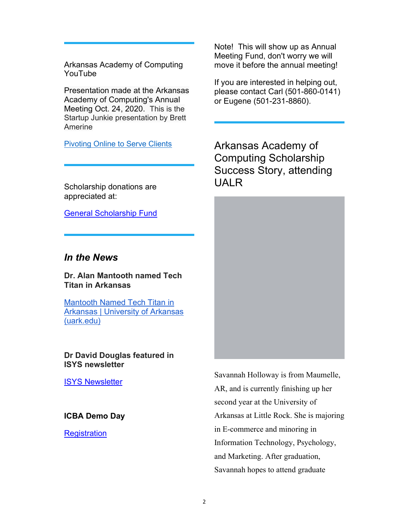Arkansas Academy of Computing YouTube

Presentation made at the Arkansas Academy of Computing's Annual Meeting Oct. 24, 2020. This is the Startup Junkie presentation by Brett Amerine

Pivoting Online to Serve Clients

Scholarship donations are appreciated at:

General Scholarship Fund

## In the News

Dr. Alan Mantooth named Tech Titan in Arkansas

Mantooth Named Tech Titan in Arkansas | University of Arkansas (uark.edu)

Dr David Douglas featured in ISYS newsletter

**ISYS Newsletter** 

ICBA Demo Day

**Registration** 

Note! This will show up as Annual Meeting Fund, don't worry we will move it before the annual meeting!

If you are interested in helping out, please contact Carl (501-860-0141) or Eugene (501-231-8860).

Arkansas Academy of Computing Scholarship Success Story, attending UALR



Savannah Holloway is from Maumelle, AR, and is currently finishing up her second year at the University of Arkansas at Little Rock. She is majoring in E-commerce and minoring in Information Technology, Psychology, and Marketing. After graduation, Savannah hopes to attend graduate